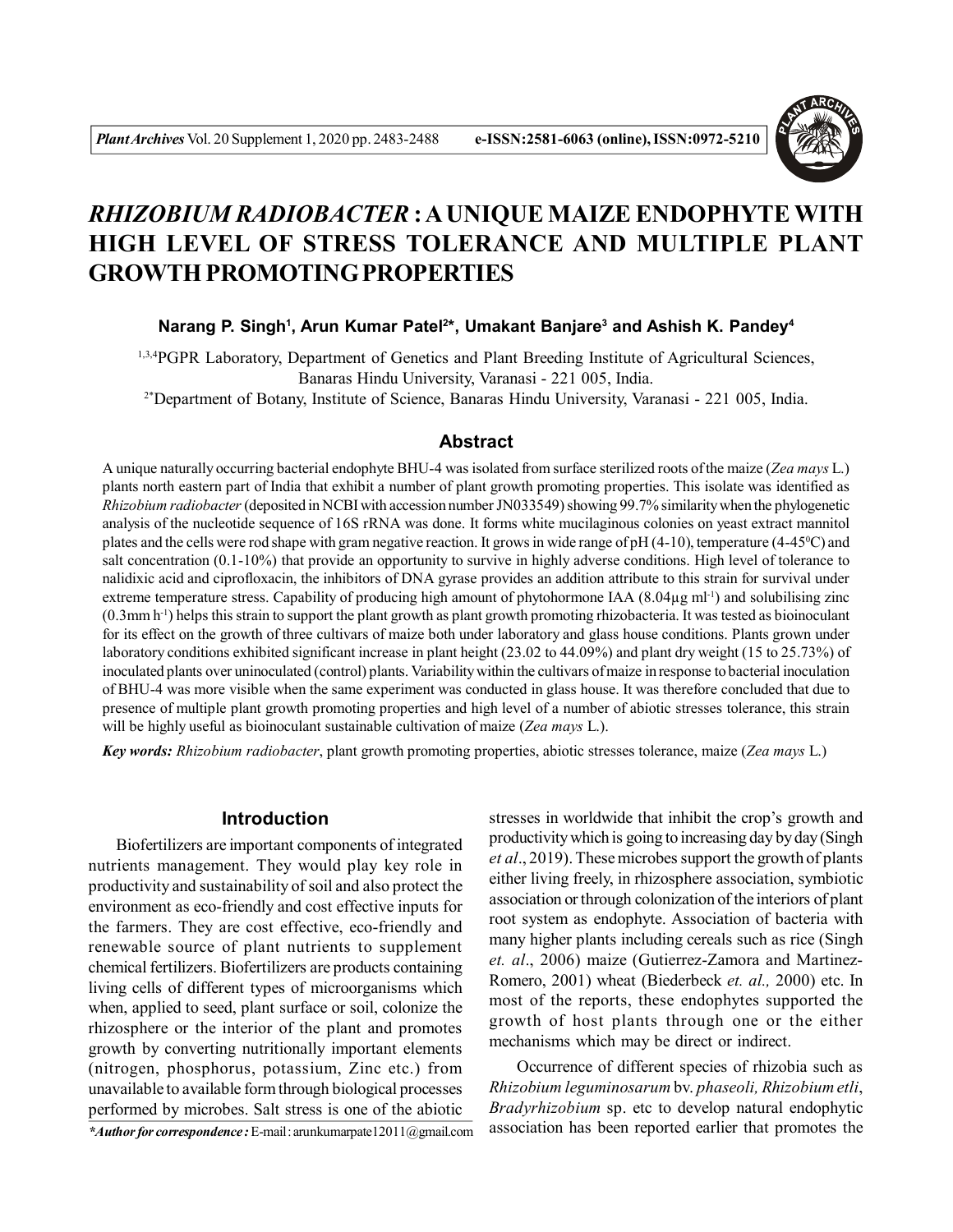

# *RHIZOBIUM RADIOBACTER* **: A UNIQUE MAIZE ENDOPHYTE WITH HIGH LEVEL OF STRESS TOLERANCE AND MULTIPLE PLANT GROWTH PROMOTING PROPERTIES**

#### **Narang P. Singh<sup>1</sup> , Arun Kumar Patel<sup>2</sup> \*, Umakant Banjare<sup>3</sup> and Ashish K. Pandey<sup>4</sup>**

1,3,4PGPR Laboratory, Department of Genetics and Plant Breeding Institute of Agricultural Sciences, Banaras Hindu University, Varanasi - 221 005, India.

2\*Department of Botany, Institute of Science, Banaras Hindu University, Varanasi - 221 005, India.

#### **Abstract**

A unique naturally occurring bacterial endophyte BHU-4 was isolated from surface sterilized roots of the maize (*Zea mays* L.) plants north eastern part of India that exhibit a number of plant growth promoting properties. This isolate was identified as *Rhizobium radiobacter* (deposited in NCBI with accession number JN033549) showing 99.7% similarity when the phylogenetic analysis of the nucleotide sequence of 16S rRNA was done. It forms white mucilaginous colonies on yeast extract mannitol plates and the cells were rod shape with gram negative reaction. It grows in wide range of pH (4-10), temperature (4-45<sup>0</sup>C) and salt concentration (0.1-10%) that provide an opportunity to survive in highly adverse conditions. High level of tolerance to nalidixic acid and ciprofloxacin, the inhibitors of DNA gyrase provides an addition attribute to this strain for survival under extreme temperature stress. Capability of producing high amount of phytohormone IAA  $(8.04\mu g \text{ ml}^{-1})$  and solubilising zinc (0.3mm h-1) helps this strain to support the plant growth as plant growth promoting rhizobacteria. It was tested as bioinoculant for its effect on the growth of three cultivars of maize both under laboratory and glass house conditions. Plants grown under laboratory conditions exhibited significant increase in plant height (23.02 to 44.09%) and plant dry weight (15 to 25.73%) of inoculated plants over uninoculated (control) plants. Variability within the cultivars of maize in response to bacterial inoculation of BHU-4 was more visible when the same experiment was conducted in glass house. It was therefore concluded that due to presence of multiple plant growth promoting properties and high level of a number of abiotic stresses tolerance, this strain will be highly useful as bioinoculant sustainable cultivation of maize (*Zea mays* L.).

*Key words: Rhizobium radiobacter*, plant growth promoting properties, abiotic stresses tolerance, maize (*Zea mays* L.)

## **Introduction**

Biofertilizers are important components of integrated nutrients management. They would play key role in productivity and sustainability of soil and also protect the environment as eco-friendly and cost effective inputs for the farmers. They are cost effective, eco-friendly and renewable source of plant nutrients to supplement chemical fertilizers. Biofertilizers are products containing living cells of different types of microorganisms which when, applied to seed, plant surface or soil, colonize the rhizosphere or the interior of the plant and promotes growth by converting nutritionally important elements (nitrogen, phosphorus, potassium, Zinc etc.) from unavailable to available form through biological processes performed by microbes. Salt stress is one of the abiotic

*\*Author for correspondence :* E-mail : arunkumarpate12011@gmail.com

stresses in worldwide that inhibit the crop's growth and productivity which is going to increasing day by day (Singh *et al*., 2019). These microbes support the growth of plants either living freely, in rhizosphere association, symbiotic association or through colonization of the interiors of plant root system as endophyte. Association of bacteria with many higher plants including cereals such as rice (Singh *et. al*., 2006) maize (Gutierrez-Zamora and Martinez-Romero, 2001) wheat (Biederbeck *et. al.,* 2000) etc. In most of the reports, these endophytes supported the growth of host plants through one or the either mechanisms which may be direct or indirect.

Occurrence of different species of rhizobia such as *Rhizobium leguminosarum* bv. *phaseoli, Rhizobium etli*, *Bradyrhizobium* sp. etc to develop natural endophytic association has been reported earlier that promotes the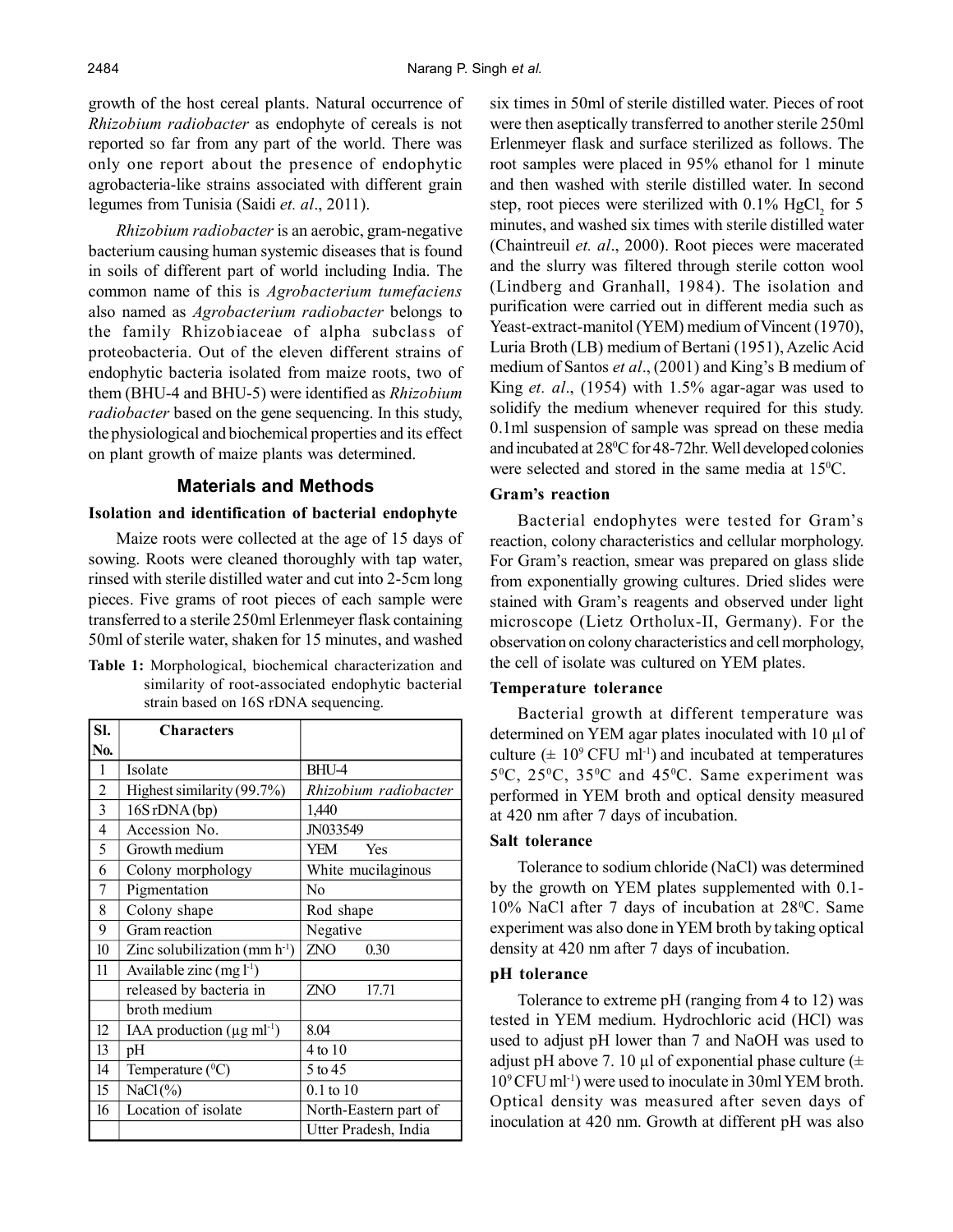growth of the host cereal plants. Natural occurrence of *Rhizobium radiobacter* as endophyte of cereals is not reported so far from any part of the world. There was only one report about the presence of endophytic agrobacteria-like strains associated with different grain legumes from Tunisia (Saidi *et. al*., 2011).

*Rhizobium radiobacter* is an aerobic, gram-negative bacterium causing human systemic diseases that is found in soils of different part of world including India. The common name of this is *Agrobacterium tumefaciens* also named as *Agrobacterium radiobacter* belongs to the family Rhizobiaceae of alpha subclass of proteobacteria. Out of the eleven different strains of endophytic bacteria isolated from maize roots, two of them (BHU-4 and BHU-5) were identified as *Rhizobium radiobacter* based on the gene sequencing. In this study, the physiological and biochemical properties and its effect on plant growth of maize plants was determined.

# **Materials and Methods**

#### **Isolation and identification of bacterial endophyte**

Maize roots were collected at the age of 15 days of sowing. Roots were cleaned thoroughly with tap water, rinsed with sterile distilled water and cut into 2-5cm long pieces. Five grams of root pieces of each sample were transferred to a sterile 250ml Erlenmeyer flask containing 50ml of sterile water, shaken for 15 minutes, and washed

**Table 1:** Morphological, biochemical characterization and similarity of root-associated endophytic bacterial strain based on 16S rDNA sequencing.

| SI.            | <b>Characters</b>                        |                       |
|----------------|------------------------------------------|-----------------------|
| No.            |                                          |                       |
| 1              | Isolate                                  | BHU-4                 |
| $\overline{2}$ | Highest similarity (99.7%)               | Rhizobium radiobacter |
| 3              | 16S rDNA (bp)                            | 1,440                 |
| 4              | Accession No.                            | JN033549              |
| 5              | Growth medium                            | YEM<br>Yes            |
| 6              | Colony morphology                        | White mucilaginous    |
| 7              | Pigmentation                             | N <sub>o</sub>        |
| 8              | Colony shape                             | Rod shape             |
| 9              | Gram reaction                            | Negative              |
| 10             | Zinc solubilization (mm $h^{-1}$ )       | ZNO<br>0.30           |
| 11             | Available zinc $(mg l^{-1})$             |                       |
|                | released by bacteria in                  | ZNO<br>17.71          |
|                | broth medium                             |                       |
| 12             | IAA production $(\mu g \text{ ml}^{-1})$ | 8.04                  |
| 13             | pH                                       | 4 to 10               |
| 14             | Temperature $(^{0}C)$                    | 5 to 45               |
| 15             | $NaCl(\%)$                               | $0.1$ to $10$         |
| 16             | Location of isolate                      | North-Eastern part of |
|                |                                          | Utter Pradesh, India  |

six times in 50ml of sterile distilled water. Pieces of root were then aseptically transferred to another sterile 250ml Erlenmeyer flask and surface sterilized as follows. The root samples were placed in 95% ethanol for 1 minute and then washed with sterile distilled water. In second step, root pieces were sterilized with  $0.1\%$  HgCl<sub>2</sub> for 5 minutes, and washed six times with sterile distilled water (Chaintreuil *et. al*., 2000). Root pieces were macerated and the slurry was filtered through sterile cotton wool (Lindberg and Granhall, 1984). The isolation and purification were carried out in different media such as Yeast-extract-manitol (YEM) medium of Vincent (1970), Luria Broth (LB) medium of Bertani (1951), Azelic Acid medium of Santos *et al*., (2001) and King's B medium of King *et. al*., (1954) with 1.5% agar-agar was used to solidify the medium whenever required for this study. 0.1ml suspension of sample was spread on these media and incubated at 28<sup>0</sup>C for 48-72hr. Well developed colonies were selected and stored in the same media at 15<sup>o</sup>C.

#### **Gram's reaction**

Bacterial endophytes were tested for Gram's reaction, colony characteristics and cellular morphology. For Gram's reaction, smear was prepared on glass slide from exponentially growing cultures. Dried slides were stained with Gram's reagents and observed under light microscope (Lietz Ortholux-II, Germany). For the observation on colony characteristics and cell morphology, the cell of isolate was cultured on YEM plates.

#### **Temperature tolerance**

Bacterial growth at different temperature was determined on YEM agar plates inoculated with 10 µl of culture  $(\pm 10^9 \text{ CFU ml}^{-1})$  and incubated at temperatures  $5^{\circ}$ C,  $25^{\circ}$ C,  $35^{\circ}$ C and  $45^{\circ}$ C. Same experiment was performed in YEM broth and optical density measured at 420 nm after 7 days of incubation.

#### **Salt tolerance**

Tolerance to sodium chloride (NaCl) was determined by the growth on YEM plates supplemented with 0.1- 10% NaCl after 7 days of incubation at  $28^{\circ}$ C. Same experiment was also done in YEM broth by taking optical density at 420 nm after 7 days of incubation.

## **pH tolerance**

Tolerance to extreme pH (ranging from 4 to 12) was tested in YEM medium. Hydrochloric acid (HCl) was used to adjust pH lower than 7 and NaOH was used to adjust pH above 7. 10 µl of exponential phase culture  $(±$ 10<sup>9</sup>CFU ml-1) were used to inoculate in 30ml YEM broth. Optical density was measured after seven days of inoculation at 420 nm. Growth at different pH was also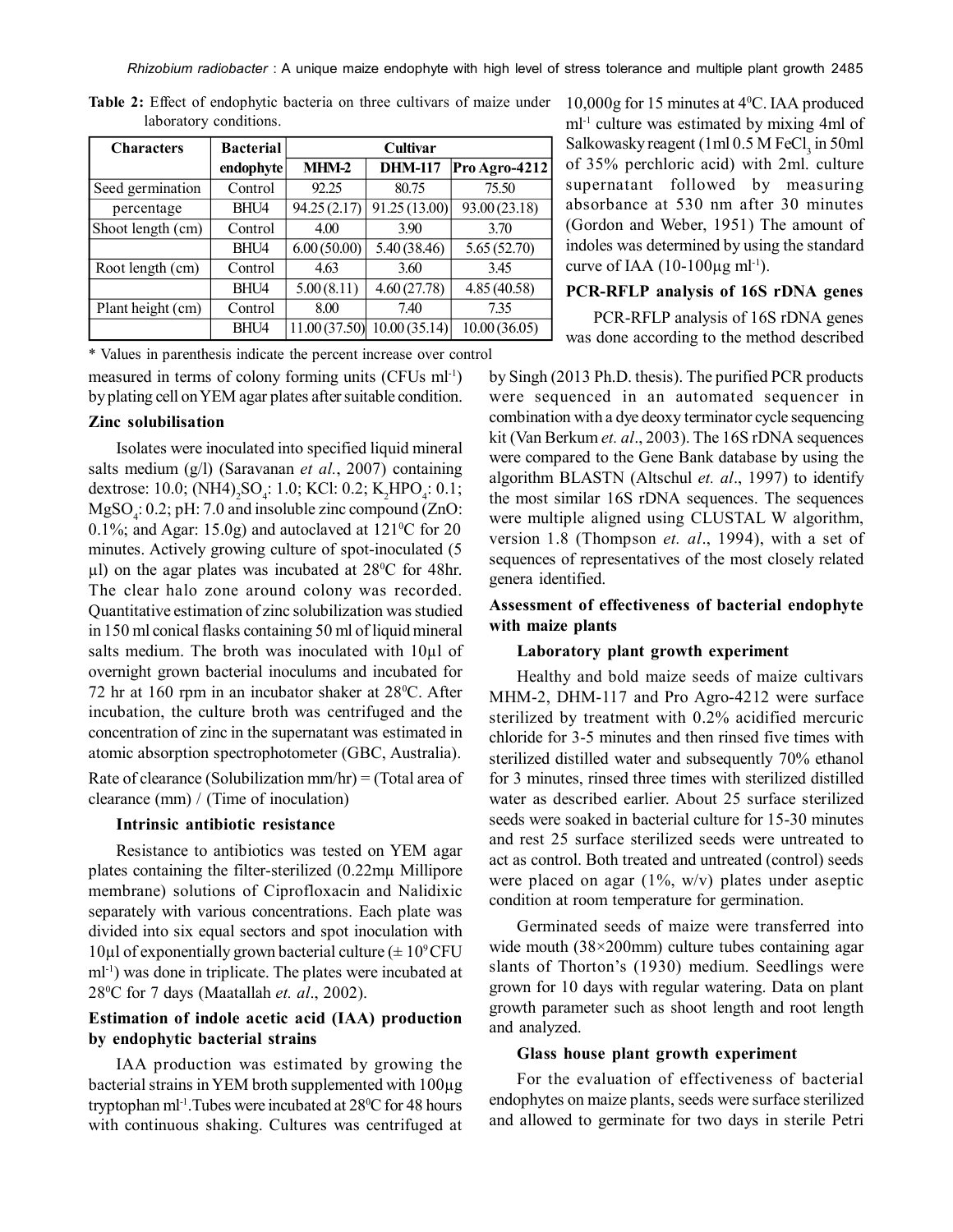*Rhizobium radiobacter* : A unique maize endophyte with high level of stress tolerance and multiple plant growth 2485

| <b>Characters</b> | <b>Bacterial</b> | Cultivar     |                |               |
|-------------------|------------------|--------------|----------------|---------------|
|                   | endophyte        | $MHM-2$      | <b>DHM-117</b> | Pro Agro-4212 |
| Seed germination  | Control          | 92.25        | 80.75          | 75.50         |
| percentage        | BHU4             | 94.25(2.17)  | 91.25 (13.00)  | 93.00 (23.18) |
| Shoot length (cm) | Control          | 4.00         | 3.90           | 3.70          |
|                   | BHU4             | 6.00(50.00)  | 5.40 (38.46)   | 5.65(52.70)   |
| Root length (cm)  | Control          | 4.63         | 3.60           | 3.45          |
|                   | BHU4             | 5.00(8.11)   | 4.60(27.78)    | 4.85(40.58)   |
| Plant height (cm) | Control          | 8.00         | 7.40           | 7.35          |
|                   | BHU4             | 11.00(37.50) | 10.00(35.14)   | 10.00(36.05)  |

**Table 2:** Effect of endophytic bacteria on three cultivars of maize under laboratory conditions.

measured in terms of colony forming units (CFUs ml<sup>-1</sup>) by plating cell on YEM agar plates after suitable condition. \* Values in parenthesis indicate the percent increase over control

#### **Zinc solubilisation**

Isolates were inoculated into specified liquid mineral salts medium (g/l) (Saravanan *et al.*, 2007) containing dextrose: 10.0; (NH4)<sub>2</sub>SO<sub>4</sub>: 1.0; KCl: 0.2; K<sub>2</sub>HPO<sub>4</sub>: 0.1;  $MgSO_4$ : 0.2; pH: 7.0 and insoluble zinc compound (ZnO: 0.1%; and Agar: 15.0g) and autoclaved at  $121\textdegree C$  for 20 minutes. Actively growing culture of spot-inoculated (5  $\mu$ l) on the agar plates was incubated at 28<sup>o</sup>C for 48hr. The clear halo zone around colony was recorded. Quantitative estimation of zinc solubilization was studied in 150 ml conical flasks containing 50 ml of liquid mineral salts medium. The broth was inoculated with 10µl of overnight grown bacterial inoculums and incubated for 72 hr at 160 rpm in an incubator shaker at  $28^{\circ}$ C. After incubation, the culture broth was centrifuged and the concentration of zinc in the supernatant was estimated in atomic absorption spectrophotometer (GBC, Australia). Rate of clearance (Solubilization mm/hr) = (Total area of clearance (mm) / (Time of inoculation)

#### **Intrinsic antibiotic resistance**

Resistance to antibiotics was tested on YEM agar plates containing the filter-sterilized (0.22mµ Millipore membrane) solutions of Ciprofloxacin and Nalidixic separately with various concentrations. Each plate was divided into six equal sectors and spot inoculation with  $10\mu$ l of exponentially grown bacterial culture ( $\pm 10^9$ CFU ml-1) was done in triplicate. The plates were incubated at 28<sup>0</sup>C for 7 days (Maatallah *et. al*., 2002).

## **Estimation of indole acetic acid (IAA) production by endophytic bacterial strains**

IAA production was estimated by growing the bacterial strains in YEM broth supplemented with 100µg tryptophan ml<sup>-1</sup>. Tubes were incubated at  $28^{\circ}$ C for 48 hours with continuous shaking. Cultures was centrifuged at

10,000g for 15 minutes at 4<sup>0</sup>C. IAA produced ml-1 culture was estimated by mixing 4ml of Salkowasky reagent (1 ml  $0.5$  M FeCl<sub>3</sub> in 50 ml of 35% perchloric acid) with 2ml. culture supernatant followed by measuring absorbance at 530 nm after 30 minutes (Gordon and Weber, 1951) The amount of indoles was determined by using the standard curve of IAA  $(10-100\mu\text{g m}^{1-1})$ .

#### **PCR-RFLP analysis of 16S rDNA genes**

PCR-RFLP analysis of 16S rDNA genes was done according to the method described

by Singh (2013 Ph.D. thesis). The purified PCR products were sequenced in an automated sequencer in combination with a dye deoxy terminator cycle sequencing kit (Van Berkum *et. al*., 2003). The 16S rDNA sequences were compared to the Gene Bank database by using the algorithm BLASTN (Altschul *et. al*., 1997) to identify the most similar 16S rDNA sequences. The sequences were multiple aligned using CLUSTAL W algorithm, version 1.8 (Thompson *et. al*., 1994), with a set of sequences of representatives of the most closely related genera identified.

## **Assessment of effectiveness of bacterial endophyte with maize plants**

#### **Laboratory plant growth experiment**

Healthy and bold maize seeds of maize cultivars MHM-2, DHM-117 and Pro Agro-4212 were surface sterilized by treatment with 0.2% acidified mercuric chloride for 3-5 minutes and then rinsed five times with sterilized distilled water and subsequently 70% ethanol for 3 minutes, rinsed three times with sterilized distilled water as described earlier. About 25 surface sterilized seeds were soaked in bacterial culture for 15-30 minutes and rest 25 surface sterilized seeds were untreated to act as control. Both treated and untreated (control) seeds were placed on agar  $(1\%, w/v)$  plates under aseptic condition at room temperature for germination.

Germinated seeds of maize were transferred into wide mouth (38×200mm) culture tubes containing agar slants of Thorton's (1930) medium. Seedlings were grown for 10 days with regular watering. Data on plant growth parameter such as shoot length and root length and analyzed.

#### **Glass house plant growth experiment**

For the evaluation of effectiveness of bacterial endophytes on maize plants, seeds were surface sterilized and allowed to germinate for two days in sterile Petri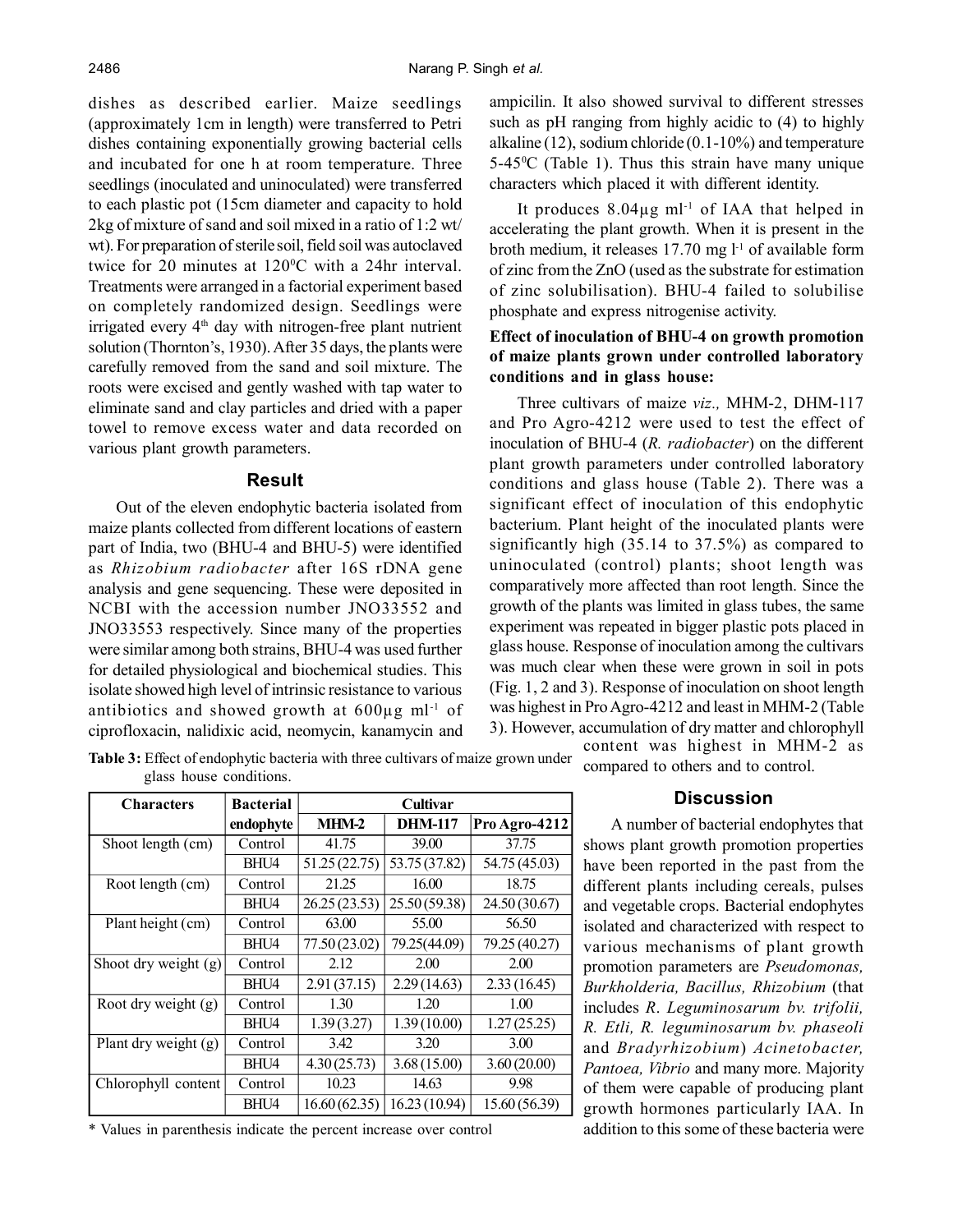dishes as described earlier. Maize seedlings (approximately 1cm in length) were transferred to Petri dishes containing exponentially growing bacterial cells and incubated for one h at room temperature. Three seedlings (inoculated and uninoculated) were transferred to each plastic pot (15cm diameter and capacity to hold 2kg of mixture of sand and soil mixed in a ratio of 1:2 wt/ wt). For preparation of sterile soil, field soil was autoclaved twice for 20 minutes at 120<sup>o</sup>C with a 24hr interval. Treatments were arranged in a factorial experiment based on completely randomized design. Seedlings were irrigated every  $4<sup>th</sup>$  day with nitrogen-free plant nutrient solution (Thornton's, 1930). After 35 days, the plants were carefully removed from the sand and soil mixture. The roots were excised and gently washed with tap water to eliminate sand and clay particles and dried with a paper towel to remove excess water and data recorded on various plant growth parameters.

#### **Result**

Out of the eleven endophytic bacteria isolated from maize plants collected from different locations of eastern part of India, two (BHU-4 and BHU-5) were identified as *Rhizobium radiobacter* after 16S rDNA gene analysis and gene sequencing. These were deposited in NCBI with the accession number JNO33552 and JNO33553 respectively. Since many of the properties were similar among both strains, BHU-4 was used further for detailed physiological and biochemical studies. This isolate showed high level of intrinsic resistance to various antibiotics and showed growth at  $600\mu$ g ml<sup>-1</sup> of ciprofloxacin, nalidixic acid, neomycin, kanamycin and ampicilin. It also showed survival to different stresses such as pH ranging from highly acidic to (4) to highly alkaline (12), sodium chloride (0.1-10%) and temperature  $5-45\degree$ C (Table 1). Thus this strain have many unique characters which placed it with different identity.

It produces  $8.04\mu$ g ml<sup>-1</sup> of IAA that helped in accelerating the plant growth. When it is present in the broth medium, it releases  $17.70$  mg  $l<sup>-1</sup>$  of available form of zinc from the ZnO (used as the substrate for estimation of zinc solubilisation). BHU-4 failed to solubilise phosphate and express nitrogenise activity.

# **Effect of inoculation of BHU-4 on growth promotion of maize plants grown under controlled laboratory conditions and in glass house:**

Three cultivars of maize *viz.,* MHM-2, DHM-117 and Pro Agro-4212 were used to test the effect of inoculation of BHU-4 (*R. radiobacter*) on the different plant growth parameters under controlled laboratory conditions and glass house (Table 2). There was a significant effect of inoculation of this endophytic bacterium. Plant height of the inoculated plants were significantly high (35.14 to 37.5%) as compared to uninoculated (control) plants; shoot length was comparatively more affected than root length. Since the growth of the plants was limited in glass tubes, the same experiment was repeated in bigger plastic pots placed in glass house. Response of inoculation among the cultivars was much clear when these were grown in soil in pots (Fig. 1, 2 and 3). Response of inoculation on shoot length was highest in Pro Agro-4212 and least in MHM-2 (Table 3). However, accumulation of dry matter and chlorophyll

content was highest in MHM-2 as compared to others and to control.

**Table 3:** Effect of endophytic bacteria with three cultivars of maize grown under glass house conditions.

| <b>Characters</b>      | <b>Bacterial</b> | Cultivar      |                |               |
|------------------------|------------------|---------------|----------------|---------------|
|                        | endophyte        | MHM-2         | <b>DHM-117</b> | Pro Agro-4212 |
| Shoot length (cm)      | Control          | 41.75         | 39.00          | 37.75         |
|                        | BHU4             | 51.25 (22.75) | 53.75 (37.82)  | 54.75 (45.03) |
| Root length (cm)       | Control          | 21.25         | 16.00          | 18.75         |
|                        | BHU4             | 26.25(23.53)  | 25.50 (59.38)  | 24.50 (30.67) |
| Plant height (cm)      | Control          | 63.00         | 55.00          | 56.50         |
|                        | BHU4             | 77.50(23.02)  | 79.25(44.09)   | 79.25 (40.27) |
| Shoot dry weight $(g)$ | Control          | 2.12          | 2.00           | 2.00          |
|                        | BHU4             | 2.91(37.15)   | 2.29(14.63)    | 2.33(16.45)   |
| Root dry weight (g)    | Control          | 1.30          | 1.20           | 1.00          |
|                        | BHU4             | 1.39(3.27)    | 1.39(10.00)    | 1.27(25.25)   |
| Plant dry weight (g)   | Control          | 3.42          | 3.20           | 3.00          |
|                        | BHU4             | 4.30(25.73)   | 3.68(15.00)    | 3.60(20.00)   |
| Chlorophyll content    | Control          | 10.23         | 14.63          | 9.98          |
|                        | BHU4             | 16.60(62.35)  | 16.23 (10.94)  | 15.60 (56.39) |

\* Values in parenthesis indicate the percent increase over control

#### **Discussion**

A number of bacterial endophytes that shows plant growth promotion properties have been reported in the past from the different plants including cereals, pulses and vegetable crops. Bacterial endophytes isolated and characterized with respect to various mechanisms of plant growth promotion parameters are *Pseudomonas, Burkholderia, Bacillus, Rhizobium* (that includes *R*. *Leguminosarum bv. trifolii, R. Etli, R. leguminosarum bv. phaseoli* and *Bradyrhizobium*) *Acinetobacter, Pantoea, Vibrio* and many more. Majority of them were capable of producing plant growth hormones particularly IAA. In addition to this some of these bacteria were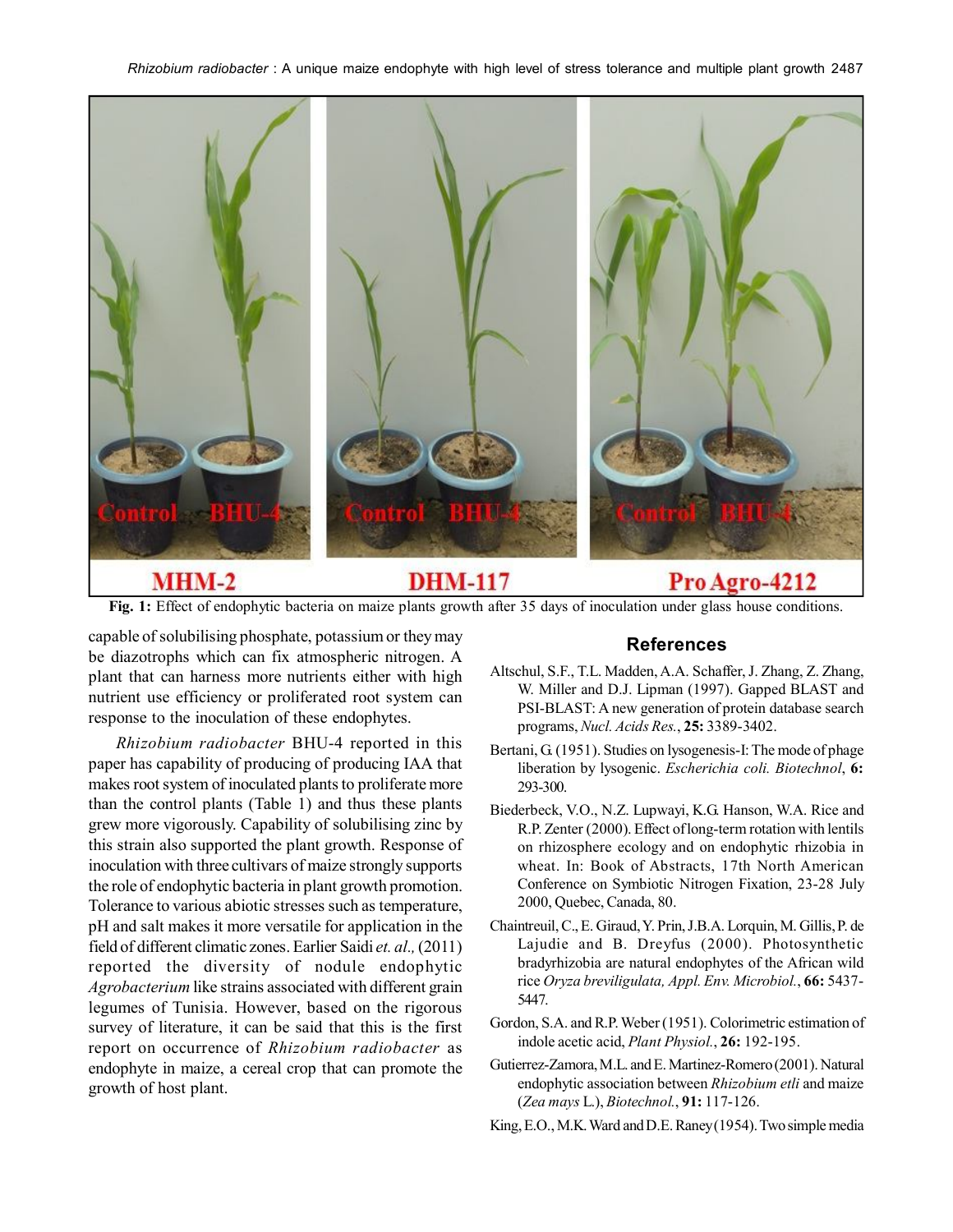

# **MHM-2**

# **DHM-117**

# Pro Agro-4212

**Fig. 1:** Effect of endophytic bacteria on maize plants growth after 35 days of inoculation under glass house conditions.

capable of solubilising phosphate, potassium or they may be diazotrophs which can fix atmospheric nitrogen. A plant that can harness more nutrients either with high nutrient use efficiency or proliferated root system can response to the inoculation of these endophytes.

*Rhizobium radiobacter* BHU-4 reported in this paper has capability of producing of producing IAA that makes root system of inoculated plants to proliferate more than the control plants (Table 1) and thus these plants grew more vigorously. Capability of solubilising zinc by this strain also supported the plant growth. Response of inoculation with three cultivars of maize strongly supports the role of endophytic bacteria in plant growth promotion. Tolerance to various abiotic stresses such as temperature, pH and salt makes it more versatile for application in the field of different climatic zones. Earlier Saidi *et. al.,* (2011) reported the diversity of nodule endophytic *Agrobacterium* like strains associated with different grain legumes of Tunisia. However, based on the rigorous survey of literature, it can be said that this is the first report on occurrence of *Rhizobium radiobacter* as endophyte in maize, a cereal crop that can promote the growth of host plant.

# **References**

- Altschul, S.F., T.L. Madden, A.A. Schaffer, J. Zhang, Z. Zhang, W. Miller and D.J. Lipman (1997). Gapped BLAST and PSI-BLAST: A new generation of protein database search programs, *Nucl. Acids Res.*, **25:** 3389-3402.
- Bertani, G. (1951). Studies on lysogenesis-I: The mode of phage liberation by lysogenic. *Escherichia coli. Biotechnol*, **6:** 293-300.
- Biederbeck, V.O., N.Z. Lupwayi, K.G. Hanson, W.A. Rice and R.P. Zenter (2000). Effect of long-term rotation with lentils on rhizosphere ecology and on endophytic rhizobia in wheat. In: Book of Abstracts, 17th North American Conference on Symbiotic Nitrogen Fixation, 23-28 July 2000, Quebec, Canada, 80.
- Chaintreuil, C., E. Giraud, Y. Prin, J.B.A. Lorquin, M. Gillis, P. de Lajudie and B. Dreyfus (2000). Photosynthetic bradyrhizobia are natural endophytes of the African wild rice *Oryza breviligulata, Appl. Env. Microbiol.*, **66:** 5437- 5447.
- Gordon, S.A. and R.P. Weber (1951). Colorimetric estimation of indole acetic acid, *Plant Physiol.*, **26:** 192-195.
- Gutierrez-Zamora, M.L. and E. Martinez-Romero (2001). Natural endophytic association between *Rhizobium etli* and maize (*Zea mays* L.), *Biotechnol.*, **91:** 117-126.
- King, E.O., M.K. Ward and D.E. Raney (1954). Two simple media